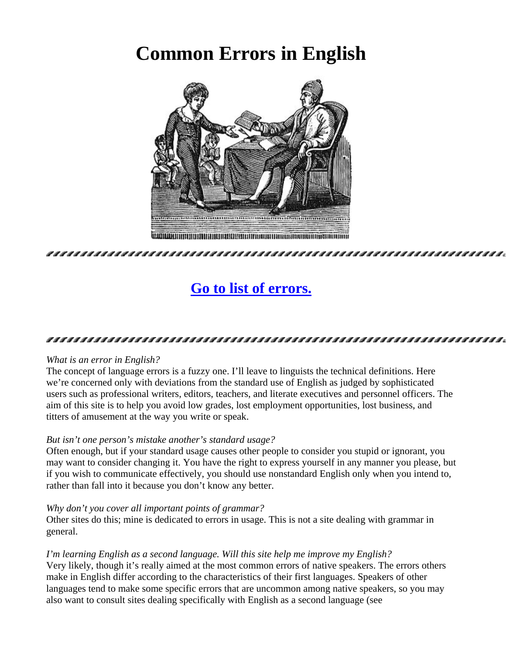# **Common Errors in English**



# **Go to list of errors.**

#### 

#### *What is an error in English?*

The concept of language errors is a fuzzy one. I'll leave to linguists the technical definitions. Here we're concerned only with deviations from the standard use of English as judged by sophisticated users such as professional writers, editors, teachers, and literate executives and personnel officers. The aim of this site is to help you avoid low grades, lost employment opportunities, lost business, and titters of amusement at the way you write or speak.

#### *But isn't one person's mistake another's standard usage?*

Often enough, but if your standard usage causes other people to consider you stupid or ignorant, you may want to consider changing it. You have the right to express yourself in any manner you please, but if you wish to communicate effectively, you should use nonstandard English only when you intend to, rather than fall into it because you don't know any better.

#### *Why don't you cover all important points of grammar?*

Other sites do this; mine is dedicated to errors in usage. This is not a site dealing with grammar in general.

#### *I'm learning English as a second language. Will this site help me improve my English?*

Very likely, though it's really aimed at the most common errors of native speakers. The errors others make in English differ according to the characteristics of their first languages. Speakers of other languages tend to make some specific errors that are uncommon among native speakers, so you may also want to consult sites dealing specifically with English as a second language (see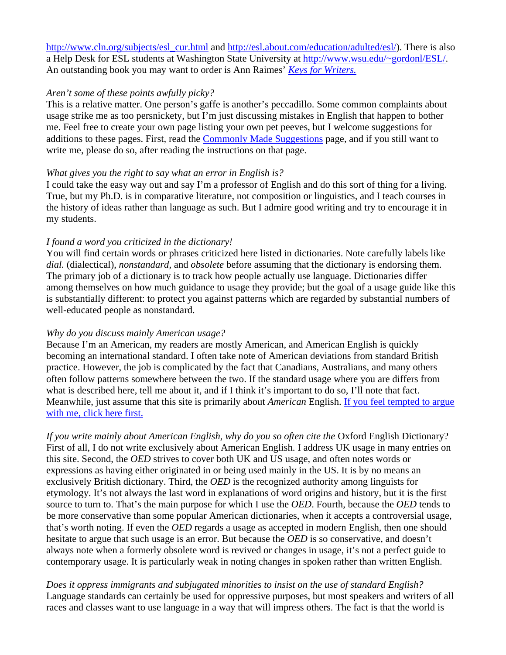[http://www.cln.org/subjects/esl\\_cur.html](http://www.cln.org/subjects/esl_cur.html) and [http://esl.about.com/education/adulted/esl/\)](http://esl.about.com/education/adulted/esl/). There is also a Help Desk for ESL students at Washington State University at [http://www.wsu.edu/~gordonl/ESL/](http://www.wsu.edu/%7Egordonl/ESL/). An outstanding book you may want to order is Ann Raimes' *[Keys for Writers.](http://www.amazon.com/exec/obidos/ASIN/0395920647/qid%3D924550508/002-1206919-5405651)*

#### *Aren't some of these points awfully picky?*

This is a relative matter. One person's gaffe is another's peccadillo. Some common complaints about usage strike me as too persnickety, but I'm just discussing mistakes in English that happen to bother me. Feel free to create your own page listing your own pet peeves, but I welcome suggestions for additions to these pages. First, read the Commonly Made Suggestions page, and if you still want to write me, please do so, after reading the instructions on that page.

#### *What gives you the right to say what an error in English is?*

I could take the easy way out and say I'm a professor of English and do this sort of thing for a living. True, but my Ph.D. is in comparative literature, not composition or linguistics, and I teach courses in the history of ideas rather than language as such. But I admire good writing and try to encourage it in my students.

#### *I found a word you criticized in the dictionary!*

You will find certain words or phrases criticized here listed in dictionaries. Note carefully labels like *dial.* (dialectical), *nonstandard*, and *obsolete* before assuming that the dictionary is endorsing them. The primary job of a dictionary is to track how people actually use language. Dictionaries differ among themselves on how much guidance to usage they provide; but the goal of a usage guide like this is substantially different: to protect you against patterns which are regarded by substantial numbers of well-educated people as nonstandard.

#### *Why do you discuss mainly American usage?*

Because I'm an American, my readers are mostly American, and American English is quickly becoming an international standard. I often take note of American deviations from standard British practice. However, the job is complicated by the fact that Canadians, Australians, and many others often follow patterns somewhere between the two. If the standard usage where you are differs from what is described here, tell me about it, and if I think it's important to do so, I'll note that fact. Meanwhile, just assume that this site is primarily about *American* English. If you feel tempted to argue with me, click here first.

If you write mainly about American English, why do you so often cite the Oxford English Dictionary? First of all, I do not write exclusively about American English. I address UK usage in many entries on this site. Second, the *OED* strives to cover both UK and US usage, and often notes words or expressions as having either originated in or being used mainly in the US. It is by no means an exclusively British dictionary. Third, the *OED* is the recognized authority among linguists for etymology. It's not always the last word in explanations of word origins and history, but it is the first source to turn to. That's the main purpose for which I use the *OED*. Fourth, because the *OED* tends to be more conservative than some popular American dictionaries, when it accepts a controversial usage, that's worth noting. If even the *OED* regards a usage as accepted in modern English, then one should hesitate to argue that such usage is an error. But because the *OED* is so conservative, and doesn't always note when a formerly obsolete word is revived or changes in usage, it's not a perfect guide to contemporary usage. It is particularly weak in noting changes in spoken rather than written English.

*Does it oppress immigrants and subjugated minorities to insist on the use of standard English?* Language standards can certainly be used for oppressive purposes, but most speakers and writers of all races and classes want to use language in a way that will impress others. The fact is that the world is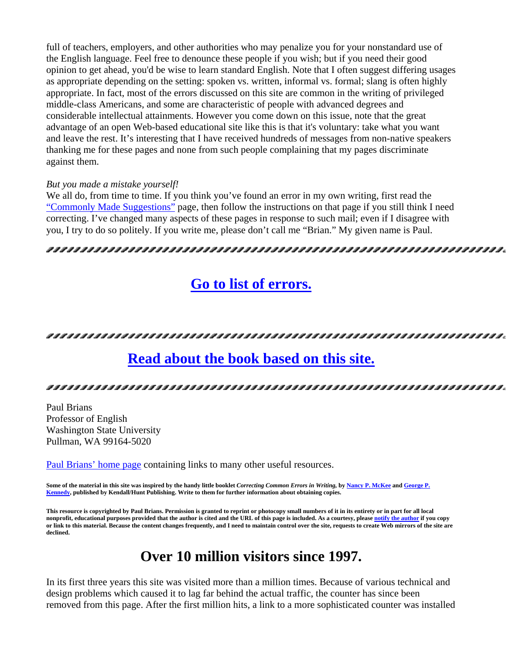full of teachers, employers, and other authorities who may penalize you for your nonstandard use of the English language. Feel free to denounce these people if you wish; but if you need their good opinion to get ahead, you'd be wise to learn standard English. Note that I often suggest differing usages as appropriate depending on the setting: spoken vs. written, informal vs. formal; slang is often highly appropriate. In fact, most of the errors discussed on this site are common in the writing of privileged middle-class Americans, and some are characteristic of people with advanced degrees and considerable intellectual attainments. However you come down on this issue, note that the great advantage of an open Web-based educational site like this is that it's voluntary: take what you want and leave the rest. It's interesting that I have received hundreds of messages from non-native speakers thanking me for these pages and none from such people complaining that my pages discriminate against them.

#### *But you made a mistake yourself!*

We all do, from time to time. If you think you've found an error in my own writing, first read the "Commonly Made Suggestions" page, then follow the instructions on that page if you still think I need correcting. I've changed many aspects of these pages in response to such mail; even if I disagree with you, I try to do so politely. If you write me, please don't call me "Brian." My given name is Paul.

# **Go to list of errors.**

#### 

### **Read about the book based on this site.**

#### 

Paul Brians Professor of English Washington State University Pullman, WA 99164-5020

Paul Brians' home page containing links to many other useful resources.

**Some of the material in this site was inspired by the handy little booklet** *Correcting Common Errors in Writing,* **by [Nancy P. McKee](mailto:npmckee@wsu.edu) and [George P.](mailto:gkennedy@wsu.edu)  [Kennedy,](mailto:gkennedy@wsu.edu) published by Kendall/Hunt Publishing. Write to them for further information about obtaining copies.** 

**This resource is copyrighted by Paul Brians. Permission is granted to reprint or photocopy small numbers of it in its entirety or in part for all local nonprofit, educational purposes provided that the author is cited and the URL of this page is included. As a courtesy, please [notify the author](mailto:paulbrians@gmail.com) if you copy or link to this material. Because the content changes frequently, and I need to maintain control over the site, requests to create Web mirrors of the site are declined.** 

# **Over 10 million visitors since 1997.**

In its first three years this site was visited more than a million times. Because of various technical and design problems which caused it to lag far behind the actual traffic, the counter has since been removed from this page. After the first million hits, a link to a more sophisticated counter was installed